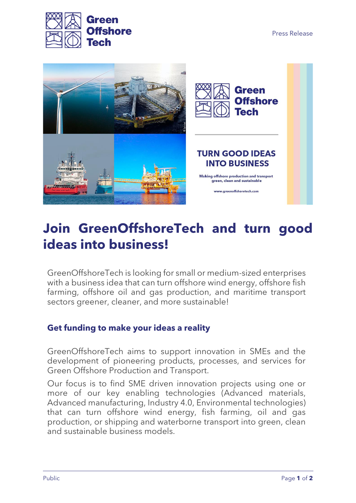



## **Join GreenOffshoreTech and turn good ideas into business!**

GreenOffshoreTech is looking for small or medium-sized enterprises with a business idea that can turn offshore wind energy, offshore fish farming, offshore oil and gas production, and maritime transport sectors greener, cleaner, and more sustainable!

## **Get funding to make your ideas a reality**

GreenOffshoreTech aims to support innovation in SMEs and the development of pioneering products, processes, and services for Green Offshore Production and Transport.

Our focus is to find SME driven innovation projects using one or more of our key enabling technologies (Advanced materials, Advanced manufacturing, Industry 4.0, Environmental technologies) that can turn offshore wind energy, fish farming, oil and gas production, or shipping and waterborne transport into green, clean and sustainable business models.